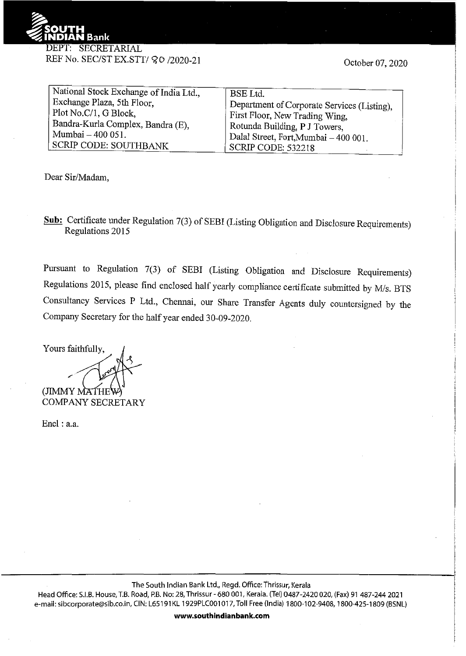

SECRETARIAL REF No. SEC/ST EX.STT/  $\degree$ O /2020-21

October 07, 2020

| National Stock Exchange of India Ltd., | <b>BSE</b> Ltd.                             |
|----------------------------------------|---------------------------------------------|
| Exchange Plaza, 5th Floor,             | Department of Corporate Services (Listing), |
| Plot No.C/1, G Block,                  | First Floor, New Trading Wing,              |
| Bandra-Kurla Complex, Bandra (E),      | Rotunda Building, P J Towers,               |
| Mumbai - 400 051.                      | Dalal Street, Fort, Mumbai - 400 001.       |
| SCRIP CODE: SOUTHBANK                  | <b>SCRIP CODE: 532218</b>                   |

Dear Sir/Madam,

**Sub:** Certificate under Regulation 7(3) of SEBI (Listing Obligation and Disclosure Requirements) Regulations 2015

Pursuant to Regulation 7(3) of SEBI (Listing Obligation and Disclosure Requirements) Regulations 2015, please find enclosed half yearly compliance certificate submitted by M/s. BTS Consultancy Services P Ltd., Chennai, our Share Transfer Agents duly countersigned by the Company Secretary for the half year ended 30-09-2020.

Yours faithfully, (JIMMY MATH COMPANY SECRETARY

Encl: a.a.

The South Indian Bank Ltd., Regd. Office: Thrissur, Kerala

Head Office: 5.1.8. House, T.B. Road, P.B. No: 28, Thrissur- 680 001, Kerala. (Tel) 0487-2420 020, (Fax) 91 487-244 2021 e-mail: sibcorporate@sib.co.in, CIN: L65191KL 1929PLC001017, Toll Free (India) 1800-102-9408, 1800-425-1809 (BSNL)

**www.southindianbank.com**